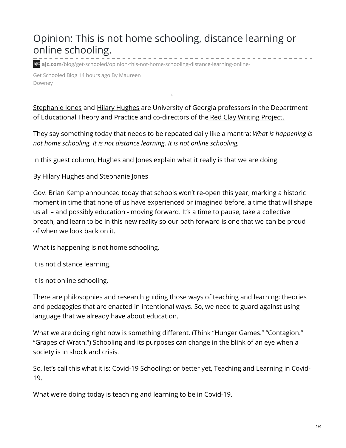## Opinion: This is not home schooling, distance learning or online schooling.

**ajc.com**[/blog/get-schooled/opinion-this-not-home-schooling-distance-learning-online-](https://www.ajc.com/blog/get-schooled/opinion-this-not-home-schooling-distance-learning-online-schooling/b9rNnK77eyVLhsRMhaqZwL/)

Get Schooled Blog 14 hours ago By Maureen Downey

[Stephanie](https://coe.uga.edu/directory/people/sjones1) Jones and Hilary [Hughes](https://coe.uga.edu/directory/people/hilary.hughes) are University of Georgia professors in the Department of Educational Theory and Practice and co-directors of the Red Clay Writing [Project.](https://coe.uga.edu/events/red-clay-writing)

They say something today that needs to be repeated daily like a mantra: *What is happening is not home schooling. It is not distance learning. It is not online schooling.*

In this guest column, Hughes and Jones explain what it really is that we are doing.

By Hilary Hughes and Stephanie Jones

Gov. Brian Kemp announced today that schools won't re-open this year, marking a historic moment in time that none of us have experienced or imagined before, a time that will shape us all – and possibly education - moving forward. It's a time to pause, take a collective breath, and learn to be in this new reality so our path forward is one that we can be proud of when we look back on it.

What is happening is not home schooling.

It is not distance learning.

It is not online schooling.

There are philosophies and research guiding those ways of teaching and learning; theories and pedagogies that are enacted in intentional ways. So, we need to guard against using language that we already have about education.

What we are doing right now is something different. (Think "Hunger Games." "Contagion." "Grapes of Wrath.") Schooling and its purposes can change in the blink of an eye when a society is in shock and crisis.

So, let's call this what it is: Covid-19 Schooling; or better yet, Teaching and Learning in Covid-19.

What we're doing today is teaching and learning to be in Covid-19.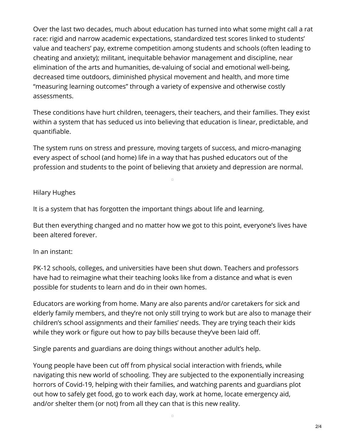Over the last two decades, much about education has turned into what some might call a rat race: rigid and narrow academic expectations, standardized test scores linked to students' value and teachers' pay, extreme competition among students and schools (often leading to cheating and anxiety); militant, inequitable behavior management and discipline, near elimination of the arts and humanities, de-valuing of social and emotional well-being, decreased time outdoors, diminished physical movement and health, and more time "measuring learning outcomes" through a variety of expensive and otherwise costly assessments.

These conditions have hurt children, teenagers, their teachers, and their families. They exist within a system that has seduced us into believing that education is linear, predictable, and quantifiable.

The system runs on stress and pressure, moving targets of success, and micro-managing every aspect of school (and home) life in a way that has pushed educators out of the profession and students to the point of believing that anxiety and depression are normal.

 $\Box$ 

## Hilary Hughes

It is a system that has forgotten the important things about life and learning.

But then everything changed and no matter how we got to this point, everyone's lives have been altered forever.

## In an instant:

PK-12 schools, colleges, and universities have been shut down. Teachers and professors have had to reimagine what their teaching looks like from a distance and what is even possible for students to learn and do in their own homes.

Educators are working from home. Many are also parents and/or caretakers for sick and elderly family members, and they're not only still trying to work but are also to manage their children's school assignments and their families' needs. They are trying teach their kids while they work or figure out how to pay bills because they've been laid off.

Single parents and guardians are doing things without another adult's help.

Young people have been cut off from physical social interaction with friends, while navigating this new world of schooling. They are subjected to the exponentially increasing horrors of Covid-19, helping with their families, and watching parents and guardians plot out how to safely get food, go to work each day, work at home, locate emergency aid, and/or shelter them (or not) from all they can that is this new reality.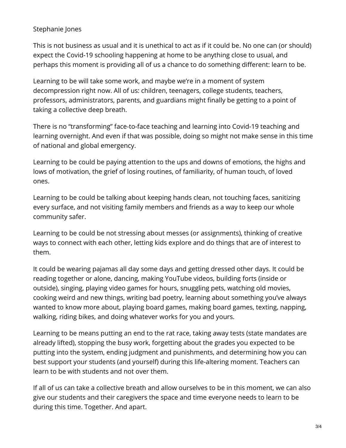## Stephanie Jones

This is not business as usual and it is unethical to act as if it could be. No one can (or should) expect the Covid-19 schooling happening at home to be anything close to usual, and perhaps this moment is providing all of us a chance to do something different: learn to be.

Learning to be will take some work, and maybe we're in a moment of system decompression right now. All of us: children, teenagers, college students, teachers, professors, administrators, parents, and guardians might finally be getting to a point of taking a collective deep breath.

There is no "transforming" face-to-face teaching and learning into Covid-19 teaching and learning overnight. And even if that was possible, doing so might not make sense in this time of national and global emergency.

Learning to be could be paying attention to the ups and downs of emotions, the highs and lows of motivation, the grief of losing routines, of familiarity, of human touch, of loved ones.

Learning to be could be talking about keeping hands clean, not touching faces, sanitizing every surface, and not visiting family members and friends as a way to keep our whole community safer.

Learning to be could be not stressing about messes (or assignments), thinking of creative ways to connect with each other, letting kids explore and do things that are of interest to them.

It could be wearing pajamas all day some days and getting dressed other days. It could be reading together or alone, dancing, making YouTube videos, building forts (inside or outside), singing, playing video games for hours, snuggling pets, watching old movies, cooking weird and new things, writing bad poetry, learning about something you've always wanted to know more about, playing board games, making board games, texting, napping, walking, riding bikes, and doing whatever works for you and yours.

Learning to be means putting an end to the rat race, taking away tests (state mandates are already lifted), stopping the busy work, forgetting about the grades you expected to be putting into the system, ending judgment and punishments, and determining how you can best support your students (and yourself) during this life-altering moment. Teachers can learn to be with students and not over them.

If all of us can take a collective breath and allow ourselves to be in this moment, we can also give our students and their caregivers the space and time everyone needs to learn to be during this time. Together. And apart.